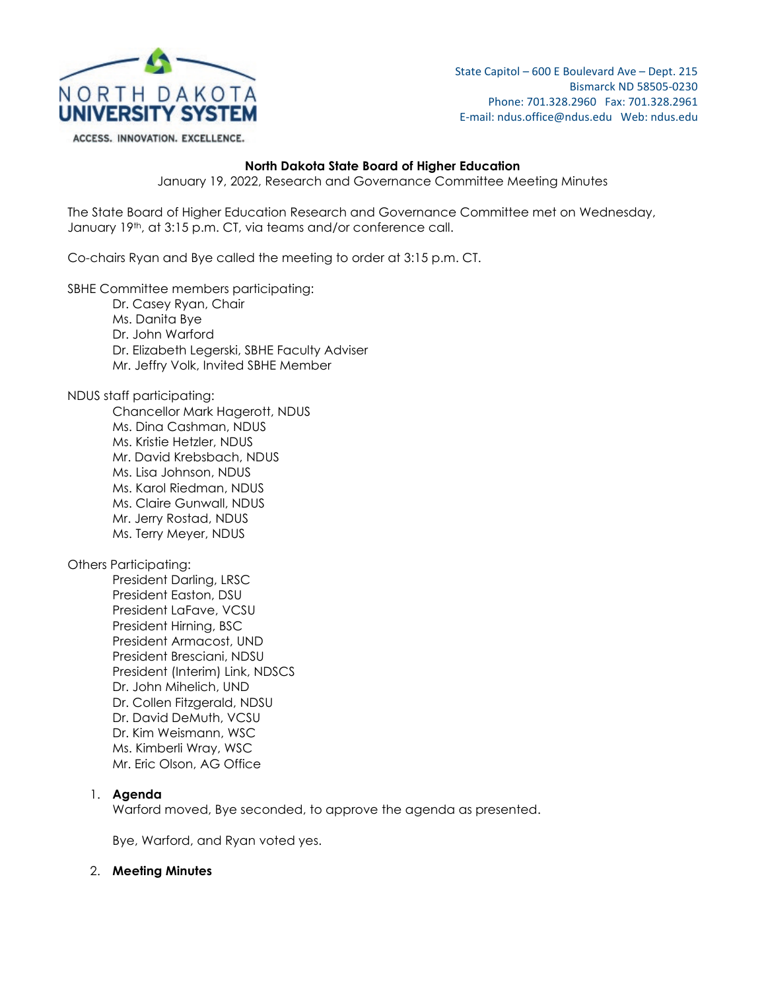

ACCESS. INNOVATION. EXCELLENCE.

State Capitol – 600 E Boulevard Ave – Dept. 215 Bismarck ND 58505-0230 Phone: 701.328.2960 Fax: 701.328.2961 E-mail: ndus.office@ndus.edu Web: ndus.edu

#### **North Dakota State Board of Higher Education**

January 19, 2022, Research and Governance Committee Meeting Minutes

The State Board of Higher Education Research and Governance Committee met on Wednesday, January 19th, at 3:15 p.m. CT, via teams and/or conference call.

Co-chairs Ryan and Bye called the meeting to order at 3:15 p.m. CT.

SBHE Committee members participating:

- Dr. Casey Ryan, Chair
- Ms. Danita Bye Dr. John Warford Dr. Elizabeth Legerski, SBHE Faculty Adviser Mr. Jeffry Volk, Invited SBHE Member

NDUS staff participating:

Chancellor Mark Hagerott, NDUS Ms. Dina Cashman, NDUS Ms. Kristie Hetzler, NDUS Mr. David Krebsbach, NDUS Ms. Lisa Johnson, NDUS Ms. Karol Riedman, NDUS Ms. Claire Gunwall, NDUS Mr. Jerry Rostad, NDUS Ms. Terry Meyer, NDUS

Others Participating:

President Darling, LRSC President Easton, DSU President LaFave, VCSU President Hirning, BSC President Armacost, UND President Bresciani, NDSU President (Interim) Link, NDSCS Dr. John Mihelich, UND Dr. Collen Fitzgerald, NDSU Dr. David DeMuth, VCSU Dr. Kim Weismann, WSC Ms. Kimberli Wray, WSC Mr. Eric Olson, AG Office

### 1. **Agenda**

Warford moved, Bye seconded, to approve the agenda as presented.

Bye, Warford, and Ryan voted yes.

#### 2. **Meeting Minutes**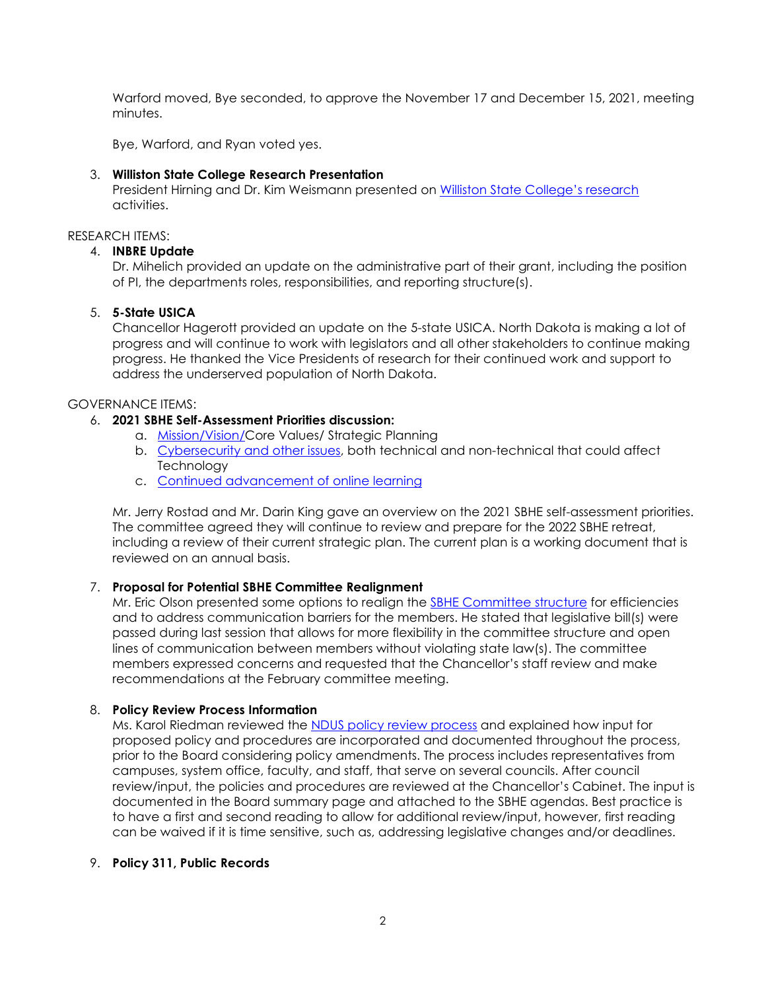Warford moved, Bye seconded, to approve the November 17 and December 15, 2021, meeting minutes.

Bye, Warford, and Ryan voted yes.

## 3. **Williston State College Research Presentation**

President Hirning and Dr. Kim Weismann presented on [Williston State College's](https://ndusbpos.sharepoint.com/:p:/s/NDUSSBHE/ESpe-0qNs-dOug2iS0ScMzwBvwip6QBk558RlETsgzlPOg?e=LHfthx) research activities.

### RESEARCH ITEMS:

## 4. **INBRE Update**

Dr. Mihelich provided an update on the administrative part of their grant, including the position of PI, the departments roles, responsibilities, and reporting structure(s).

## 5. **5-State USICA**

Chancellor Hagerott provided an update on the 5-state USICA. North Dakota is making a lot of progress and will continue to work with legislators and all other stakeholders to continue making progress. He thanked the Vice Presidents of research for their continued work and support to address the underserved population of North Dakota.

### GOVERNANCE ITEMS:

## 6. **2021 SBHE Self-Assessment Priorities discussion:**

- a. [Mission/Vision/C](https://ndus.edu/sbhe-overview/sbhe-policies/100-heading-policies/)ore Values/ Strategic Planning
- b. [Cybersecurity and other issues,](https://ndusbpos.sharepoint.com/:b:/s/NDUSSBHE/ERIEF0Nvm7RNjfmtG3cEHwsBlyHgKcNGkCsBjVy5MDMrlQ?e=wXArMD) both technical and non-technical that could affect **Technology**
- c. [Continued advancement of online learning](https://ndusbpos.sharepoint.com/:b:/s/NDUSSBHE/EY3rjzxnIJVGnXfXYOl0iJcBUm8hwU7UDQWHtieFFpA8ew?e=HB7DXq)

Mr. Jerry Rostad and Mr. Darin King gave an overview on the 2021 SBHE self-assessment priorities. The committee agreed they will continue to review and prepare for the 2022 SBHE retreat, including a review of their current strategic plan. The current plan is a working document that is reviewed on an annual basis.

# 7. **Proposal for Potential SBHE Committee Realignment**

Mr. Eric Olson presented some options to realign the [SBHE Committee structure](https://ndusbpos.sharepoint.com/:b:/s/NDUSSBHE/EXCBBCrgy2dHljMyhkuYmJMBKcjGSPeystoACqZjpo1p-Q?e=BzdcDT) for efficiencies and to address communication barriers for the members. He stated that legislative bill(s) were passed during last session that allows for more flexibility in the committee structure and open lines of communication between members without violating state law(s). The committee members expressed concerns and requested that the Chancellor's staff review and make recommendations at the February committee meeting.

### 8. **Policy Review Process Information**

Ms. Karol Riedman reviewed the [NDUS policy review process](https://ndusbpos.sharepoint.com/:p:/s/NDUSSBHE/EUdYFsBKtddHrmSZNSAONfoBAIwGoyGlYh2vM3o3G_qltA?e=IDgnop) and explained how input for proposed policy and procedures are incorporated and documented throughout the process, prior to the Board considering policy amendments. The process includes representatives from campuses, system office, faculty, and staff, that serve on several councils. After council review/input, the policies and procedures are reviewed at the Chancellor's Cabinet. The input is documented in the Board summary page and attached to the SBHE agendas. Best practice is to have a first and second reading to allow for additional review/input, however, first reading can be waived if it is time sensitive, such as, addressing legislative changes and/or deadlines.

### 9. **Policy 311, Public Records**